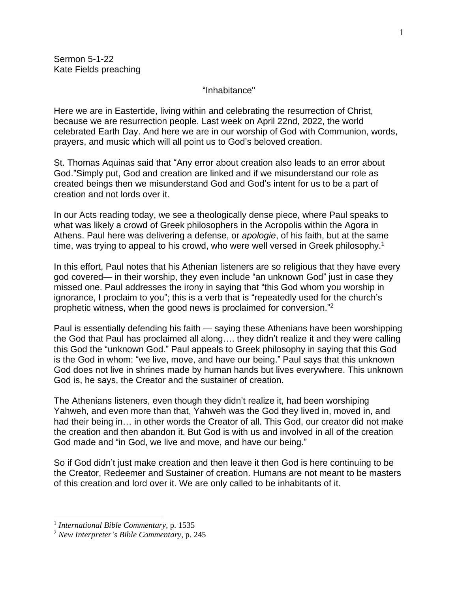"Inhabitance"

Here we are in Eastertide, living within and celebrating the resurrection of Christ, because we are resurrection people. Last week on April 22nd, 2022, the world celebrated Earth Day. And here we are in our worship of God with Communion, words, prayers, and music which will all point us to God's beloved creation.

St. Thomas Aquinas said that "Any error about creation also leads to an error about God."Simply put, God and creation are linked and if we misunderstand our role as created beings then we misunderstand God and God's intent for us to be a part of creation and not lords over it.

In our Acts reading today, we see a theologically dense piece, where Paul speaks to what was likely a crowd of Greek philosophers in the Acropolis within the Agora in Athens. Paul here was delivering a defense, or *apologie*, of his faith, but at the same time, was trying to appeal to his crowd, who were well versed in Greek philosophy.<sup>1</sup>

In this effort, Paul notes that his Athenian listeners are so religious that they have every god covered— in their worship, they even include "an unknown God" just in case they missed one. Paul addresses the irony in saying that "this God whom you worship in ignorance, I proclaim to you"; this is a verb that is "repeatedly used for the church's prophetic witness, when the good news is proclaimed for conversion." 2

Paul is essentially defending his faith — saying these Athenians have been worshipping the God that Paul has proclaimed all along…. they didn't realize it and they were calling this God the "unknown God." Paul appeals to Greek philosophy in saying that this God is the God in whom: "we live, move, and have our being." Paul says that this unknown God does not live in shrines made by human hands but lives everywhere. This unknown God is, he says, the Creator and the sustainer of creation.

The Athenians listeners, even though they didn't realize it, had been worshiping Yahweh, and even more than that, Yahweh was the God they lived in, moved in, and had their being in… in other words the Creator of all. This God, our creator did not make the creation and then abandon it. But God is with us and involved in all of the creation God made and "in God, we live and move, and have our being."

So if God didn't just make creation and then leave it then God is here continuing to be the Creator, Redeemer and Sustainer of creation. Humans are not meant to be masters of this creation and lord over it. We are only called to be inhabitants of it.

<sup>1</sup> *International Bible Commentary*, p. 1535

<sup>2</sup> *New Interpreter's Bible Commentary*, p. 245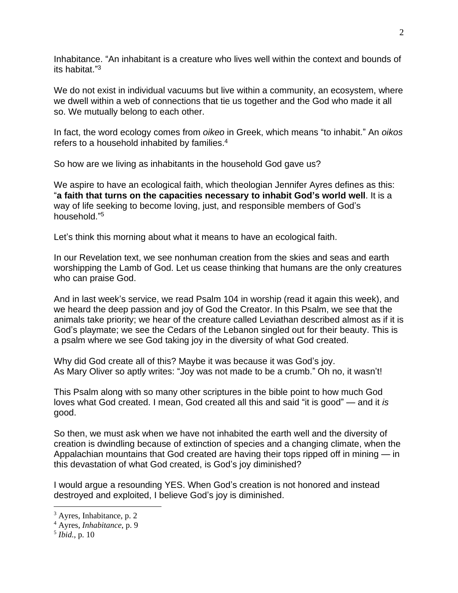Inhabitance. "An inhabitant is a creature who lives well within the context and bounds of its habitat." 3

We do not exist in individual vacuums but live within a community, an ecosystem, where we dwell within a web of connections that tie us together and the God who made it all so. We mutually belong to each other.

In fact, the word ecology comes from *oikeo* in Greek, which means "to inhabit." An *oikos* refers to a household inhabited by families.<sup>4</sup>

So how are we living as inhabitants in the household God gave us?

We aspire to have an ecological faith, which theologian Jennifer Ayres defines as this: "**a faith that turns on the capacities necessary to inhabit God's world well**. It is a way of life seeking to become loving, just, and responsible members of God's household." 5

Let's think this morning about what it means to have an ecological faith.

In our Revelation text, we see nonhuman creation from the skies and seas and earth worshipping the Lamb of God. Let us cease thinking that humans are the only creatures who can praise God.

And in last week's service, we read Psalm 104 in worship (read it again this week), and we heard the deep passion and joy of God the Creator. In this Psalm, we see that the animals take priority; we hear of the creature called Leviathan described almost as if it is God's playmate; we see the Cedars of the Lebanon singled out for their beauty. This is a psalm where we see God taking joy in the diversity of what God created.

Why did God create all of this? Maybe it was because it was God's joy. As Mary Oliver so aptly writes: "Joy was not made to be a crumb." Oh no, it wasn't!

This Psalm along with so many other scriptures in the bible point to how much God loves what God created. I mean, God created all this and said "it is good" — and it *is* good.

So then, we must ask when we have not inhabited the earth well and the diversity of creation is dwindling because of extinction of species and a changing climate, when the Appalachian mountains that God created are having their tops ripped off in mining — in this devastation of what God created, is God's joy diminished?

I would argue a resounding YES. When God's creation is not honored and instead destroyed and exploited, I believe God's joy is diminished.

<sup>3</sup> Ayres, Inhabitance, p. 2

<sup>4</sup> Ayres, *Inhabitance*, p. 9

<sup>5</sup> *Ibid.*, p. 10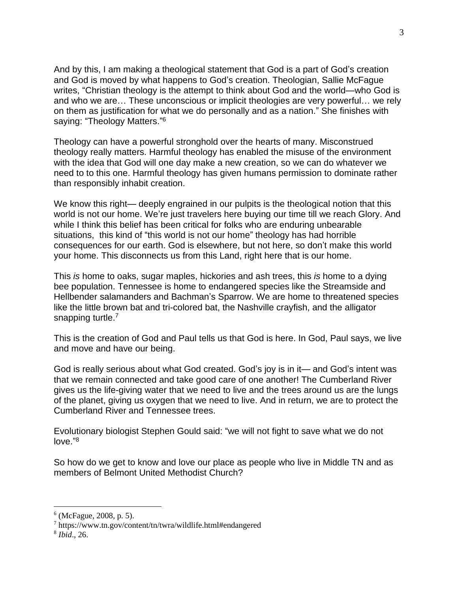And by this, I am making a theological statement that God is a part of God's creation and God is moved by what happens to God's creation. Theologian, Sallie McFague writes, "Christian theology is the attempt to think about God and the world—who God is and who we are… These unconscious or implicit theologies are very powerful… we rely on them as justification for what we do personally and as a nation." She finishes with saying: "Theology Matters."<sup>6</sup>

Theology can have a powerful stronghold over the hearts of many. Misconstrued theology really matters. Harmful theology has enabled the misuse of the environment with the idea that God will one day make a new creation, so we can do whatever we need to to this one. Harmful theology has given humans permission to dominate rather than responsibly inhabit creation.

We know this right— deeply engrained in our pulpits is the theological notion that this world is not our home. We're just travelers here buying our time till we reach Glory. And while I think this belief has been critical for folks who are enduring unbearable situations, this kind of "this world is not our home" theology has had horrible consequences for our earth. God is elsewhere, but not here, so don't make this world your home. This disconnects us from this Land, right here that is our home.

This *is* home to oaks, sugar maples, hickories and ash trees, this *is* home to a dying bee population. Tennessee is home to endangered species like the Streamside and Hellbender salamanders and Bachman's Sparrow. We are home to threatened species like the little brown bat and tri-colored bat, the Nashville crayfish, and the alligator snapping turtle.<sup>7</sup>

This is the creation of God and Paul tells us that God is here. In God, Paul says, we live and move and have our being.

God is really serious about what God created. God's joy is in it— and God's intent was that we remain connected and take good care of one another! The Cumberland River gives us the life-giving water that we need to live and the trees around us are the lungs of the planet, giving us oxygen that we need to live. And in return, we are to protect the Cumberland River and Tennessee trees.

Evolutionary biologist Stephen Gould said: "we will not fight to save what we do not love." 8

So how do we get to know and love our place as people who live in Middle TN and as members of Belmont United Methodist Church?

<sup>6</sup> (McFague, 2008*,* p. 5).

<sup>7</sup> https://www.tn.gov/content/tn/twra/wildlife.html#endangered

<sup>8</sup> *Ibid*., 26.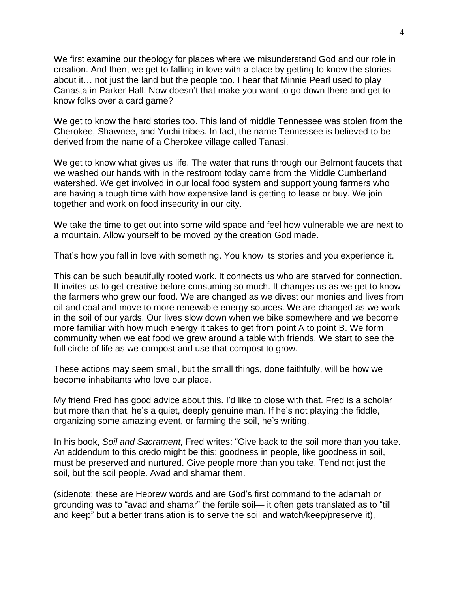We first examine our theology for places where we misunderstand God and our role in creation. And then, we get to falling in love with a place by getting to know the stories about it… not just the land but the people too. I hear that Minnie Pearl used to play Canasta in Parker Hall. Now doesn't that make you want to go down there and get to know folks over a card game?

We get to know the hard stories too. This land of middle Tennessee was stolen from the Cherokee, Shawnee, and Yuchi tribes. In fact, the name Tennessee is believed to be derived from the name of a Cherokee village called Tanasi.

We get to know what gives us life. The water that runs through our Belmont faucets that we washed our hands with in the restroom today came from the Middle Cumberland watershed. We get involved in our local food system and support young farmers who are having a tough time with how expensive land is getting to lease or buy. We join together and work on food insecurity in our city.

We take the time to get out into some wild space and feel how vulnerable we are next to a mountain. Allow yourself to be moved by the creation God made.

That's how you fall in love with something. You know its stories and you experience it.

This can be such beautifully rooted work. It connects us who are starved for connection. It invites us to get creative before consuming so much. It changes us as we get to know the farmers who grew our food. We are changed as we divest our monies and lives from oil and coal and move to more renewable energy sources. We are changed as we work in the soil of our yards. Our lives slow down when we bike somewhere and we become more familiar with how much energy it takes to get from point A to point B. We form community when we eat food we grew around a table with friends. We start to see the full circle of life as we compost and use that compost to grow.

These actions may seem small, but the small things, done faithfully, will be how we become inhabitants who love our place.

My friend Fred has good advice about this. I'd like to close with that. Fred is a scholar but more than that, he's a quiet, deeply genuine man. If he's not playing the fiddle, organizing some amazing event, or farming the soil, he's writing.

In his book, *Soil and Sacrament,* Fred writes: "Give back to the soil more than you take. An addendum to this credo might be this: goodness in people, like goodness in soil, must be preserved and nurtured. Give people more than you take. Tend not just the soil, but the soil people. Avad and shamar them.

(sidenote: these are Hebrew words and are God's first command to the adamah or grounding was to "avad and shamar" the fertile soil— it often gets translated as to "till and keep" but a better translation is to serve the soil and watch/keep/preserve it),